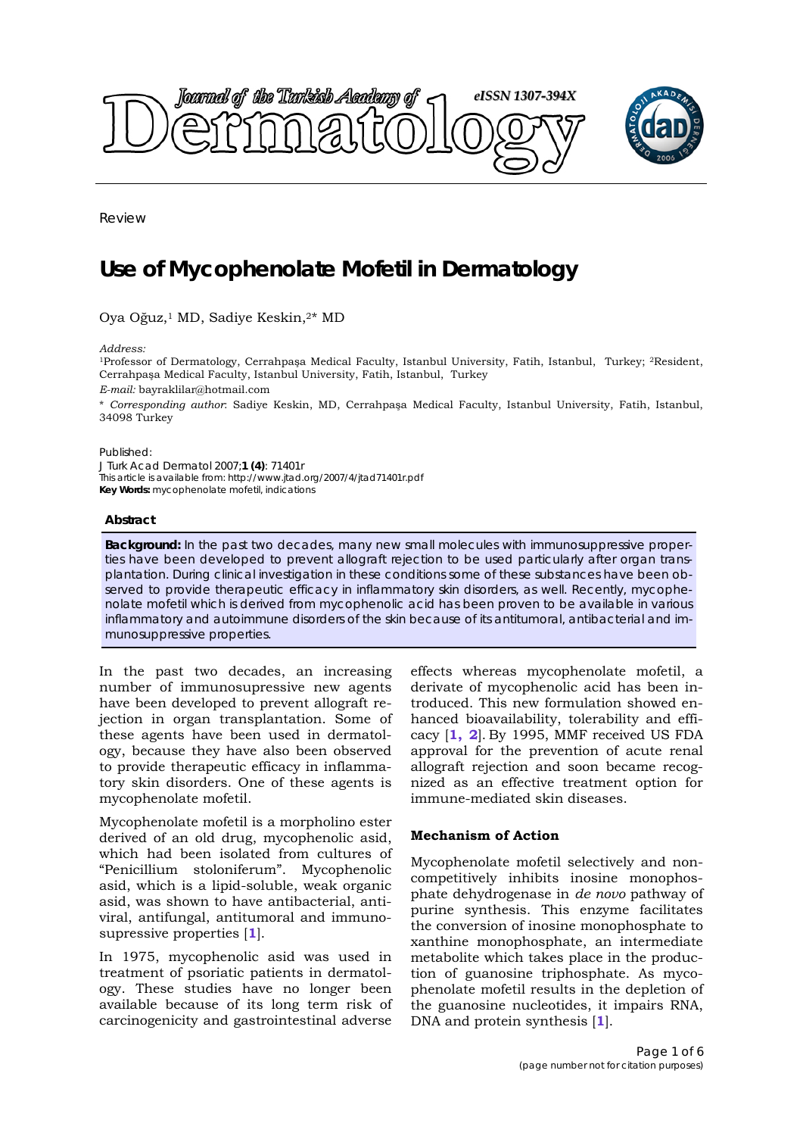

Review

# **Use of Mycophenolate Mofetil in Dermatology**

Oya Oğuz,1 MD, Sadiye Keskin,2\* MD

*Address:* 

1Professor of Dermatology, Cerrahpaşa Medical Faculty, Istanbul University, Fatih, Istanbul, Turkey; 2Resident, Cerrahpaşa Medical Faculty, Istanbul University, Fatih, Istanbul, Turkey

*E-mail:* bayraklilar@hotmail.com

\* *Corresponding author*: Sadiye Keskin, MD, Cerrahpaşa Medical Faculty, Istanbul University, Fatih, Istanbul, 34098 Turkey

Published:

*J Turk Acad Dermatol* 2007;**1 (4)**: 71401r This article is available from: http://www.jtad.org/2007/4/jtad71401r.pdf **Key Words:** mycophenolate mofetil, indications

#### **Abstract**

**Background:** In the past two decades, many new small molecules with immunosuppressive properties have been developed to prevent allograft rejection to be used particularly after organ transplantation. During clinical investigation in these conditions some of these substances have been observed to provide therapeutic efficacy in inflammatory skin disorders, as well. Recently, mycophenolate mofetil which is derived from mycophenolic acid has been proven to be available in various inflammatory and autoimmune disorders of the skin because of its antitumoral, antibacterial and immunosuppressive properties.

In the past two decades, an increasing number of immunosupressive new agents have been developed to prevent allograft rejection in organ transplantation. Some of these agents have been used in dermatology, because they have also been observed to provide therapeutic efficacy in inflammatory skin disorders. One of these agents is mycophenolate mofetil.

Mycophenolate mofetil is a morpholino ester derived of an old drug, mycophenolic asid, which had been isolated from cultures of "Penicillium stoloniferum". Mycophenolic asid, which is a lipid-soluble, weak organic asid, was shown to have antibacterial, antiviral, antifungal, antitumoral and immunosupressive properties [**1**].

In 1975, mycophenolic asid was used in treatment of psoriatic patients in dermatology. These studies have no longer been available because of its long term risk of carcinogenicity and gastrointestinal adverse

effects whereas mycophenolate mofetil, a derivate of mycophenolic acid has been introduced. This new formulation showed enhanced bioavailability, tolerability and efficacy [**1, 2**]. By 1995, MMF received US FDA approval for the prevention of acute renal allograft rejection and soon became recognized as an effective treatment option for immune-mediated skin diseases.

#### **Mechanism of Action**

Mycophenolate mofetil selectively and noncompetitively inhibits inosine monophosphate dehydrogenase in *de novo* pathway of purine synthesis. This enzyme facilitates the conversion of inosine monophosphate to xanthine monophosphate, an intermediate metabolite which takes place in the production of guanosine triphosphate. As mycophenolate mofetil results in the depletion of the guanosine nucleotides, it impairs RNA, DNA and protein synthesis [**1**].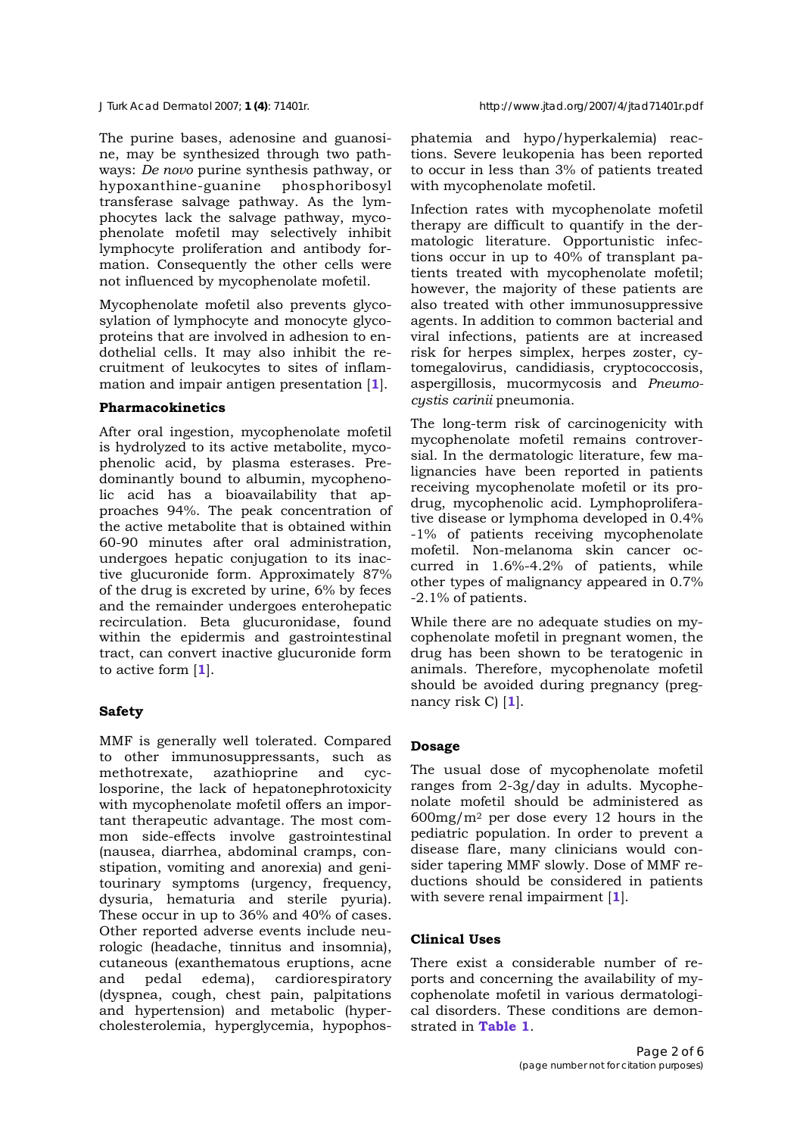The purine bases, adenosine and guanosine, may be synthesized through two pathways: *De novo* purine synthesis pathway, or hypoxanthine-guanine phosphoribosyl transferase salvage pathway. As the lymphocytes lack the salvage pathway, mycophenolate mofetil may selectively inhibit lymphocyte proliferation and antibody formation. Consequently the other cells were not influenced by mycophenolate mofetil.

Mycophenolate mofetil also prevents glycosylation of lymphocyte and monocyte glycoproteins that are involved in adhesion to endothelial cells. It may also inhibit the recruitment of leukocytes to sites of inflammation and impair antigen presentation [**1**].

## **Pharmacokinetics**

After oral ingestion, mycophenolate mofetil is hydrolyzed to its active metabolite, mycophenolic acid, by plasma esterases. Predominantly bound to albumin, mycophenolic acid has a bioavailability that approaches 94%. The peak concentration of the active metabolite that is obtained within 60-90 minutes after oral administration, undergoes hepatic conjugation to its inactive glucuronide form. Approximately 87% of the drug is excreted by urine, 6% by feces and the remainder undergoes enterohepatic recirculation. Beta glucuronidase, found within the epidermis and gastrointestinal tract, can convert inactive glucuronide form to active form [**1**].

# **Safety**

MMF is generally well tolerated. Compared to other immunosuppressants, such as methotrexate, azathioprine and cyclosporine, the lack of hepatonephrotoxicity with mycophenolate mofetil offers an important therapeutic advantage. The most common side-effects involve gastrointestinal (nausea, diarrhea, abdominal cramps, constipation, vomiting and anorexia) and genitourinary symptoms (urgency, frequency, dysuria, hematuria and sterile pyuria). These occur in up to 36% and 40% of cases. Other reported adverse events include neurologic (headache, tinnitus and insomnia), cutaneous (exanthematous eruptions, acne and pedal edema), cardiorespiratory (dyspnea, cough, chest pain, palpitations and hypertension) and metabolic (hypercholesterolemia, hyperglycemia, hypophosphatemia and hypo/hyperkalemia) reactions. Severe leukopenia has been reported to occur in less than 3% of patients treated with mycophenolate mofetil.

Infection rates with mycophenolate mofetil therapy are difficult to quantify in the dermatologic literature. Opportunistic infections occur in up to 40% of transplant patients treated with mycophenolate mofetil; however, the majority of these patients are also treated with other immunosuppressive agents. In addition to common bacterial and viral infections, patients are at increased risk for herpes simplex, herpes zoster, cytomegalovirus, candidiasis, cryptococcosis, aspergillosis, mucormycosis and *Pneumocystis carinii* pneumonia.

The long-term risk of carcinogenicity with mycophenolate mofetil remains controversial. In the dermatologic literature, few malignancies have been reported in patients receiving mycophenolate mofetil or its prodrug, mycophenolic acid. Lymphoproliferative disease or lymphoma developed in 0.4% -1% of patients receiving mycophenolate mofetil. Non-melanoma skin cancer occurred in 1.6%-4.2% of patients, while other types of malignancy appeared in 0.7% -2.1% of patients.

While there are no adequate studies on mycophenolate mofetil in pregnant women, the drug has been shown to be teratogenic in animals. Therefore, mycophenolate mofetil should be avoided during pregnancy (pregnancy risk C) [**1**].

# **Dosage**

The usual dose of mycophenolate mofetil ranges from 2-3g/day in adults. Mycophenolate mofetil should be administered as  $600$ mg/m<sup>2</sup> per dose every 12 hours in the pediatric population. In order to prevent a disease flare, many clinicians would consider tapering MMF slowly. Dose of MMF reductions should be considered in patients with severe renal impairment [**1**].

# **Clinical Uses**

There exist a considerable number of reports and concerning the availability of mycophenolate mofetil in various dermatological disorders. These conditions are demonstrated in **Table 1**.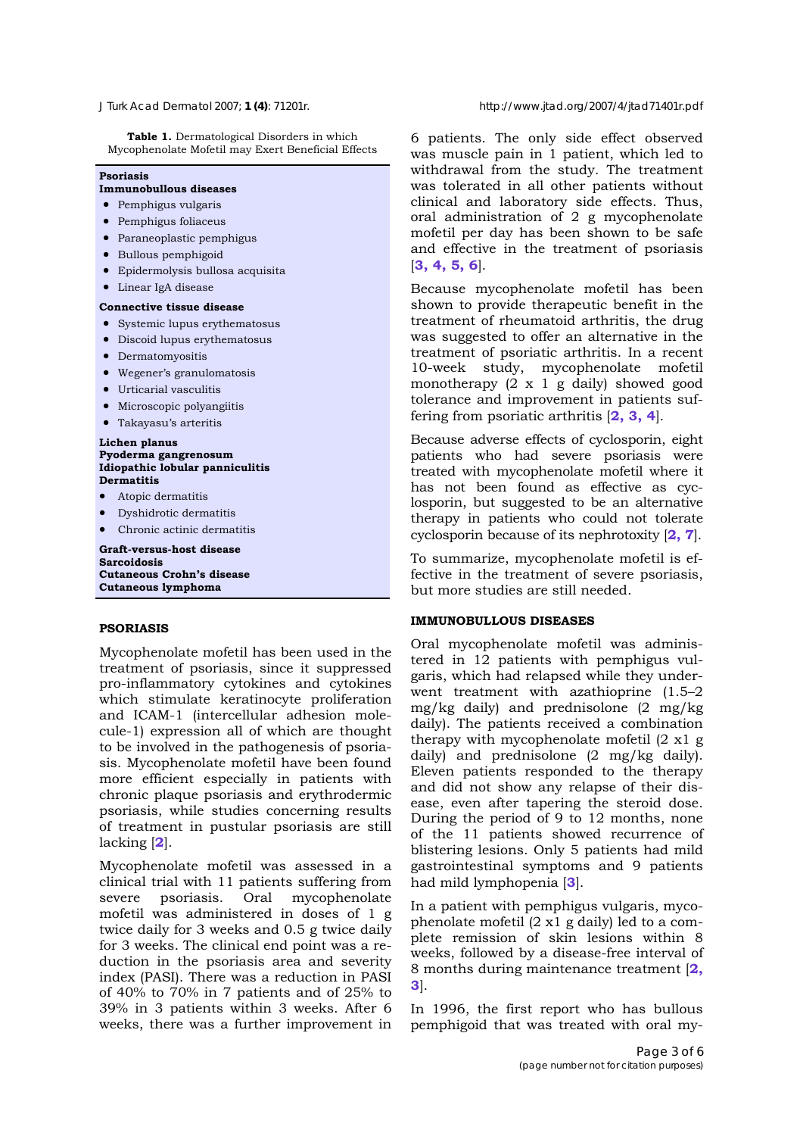**Table 1.** Dermatological Disorders in which Mycophenolate Mofetil may Exert Beneficial Effects

#### **Psoriasis**

## **Immunobullous diseases**

- Pemphigus vulgaris
- Pemphigus foliaceus
- Paraneoplastic pemphigus
- Bullous pemphigoid
- Epidermolysis bullosa acquisita
- Linear IgA disease

#### **Connective tissue disease**

- Systemic lupus erythematosus
- Discoid lupus erythematosus
- Dermatomyositis
- Wegener's granulomatosis
- Urticarial vasculitis
- Microscopic polyangiitis
- Takayasu's arteritis

**Lichen planus** 

#### **Pyoderma gangrenosum Idiopathic lobular panniculitis Dermatitis**

- Atopic dermatitis
- Dyshidrotic dermatitis
- Chronic actinic dermatitis

**Graft-versus-host disease Sarcoidosis Cutaneous Crohn's disease Cutaneous lymphoma**

#### **PSORIASIS**

Mycophenolate mofetil has been used in the treatment of psoriasis, since it suppressed pro-inflammatory cytokines and cytokines which stimulate keratinocyte proliferation and ICAM-1 (intercellular adhesion molecule-1) expression all of which are thought to be involved in the pathogenesis of psoriasis. Mycophenolate mofetil have been found more efficient especially in patients with chronic plaque psoriasis and erythrodermic psoriasis, while studies concerning results of treatment in pustular psoriasis are still lacking [**2**].

Mycophenolate mofetil was assessed in a clinical trial with 11 patients suffering from severe psoriasis. Oral mycophenolate mofetil was administered in doses of 1 g twice daily for 3 weeks and 0.5 g twice daily for 3 weeks. The clinical end point was a reduction in the psoriasis area and severity index (PASI). There was a reduction in PASI of 40% to 70% in 7 patients and of 25% to 39% in 3 patients within 3 weeks. After 6 weeks, there was a further improvement in

6 patients. The only side effect observed was muscle pain in 1 patient, which led to withdrawal from the study. The treatment was tolerated in all other patients without clinical and laboratory side effects. Thus, oral administration of 2 g mycophenolate mofetil per day has been shown to be safe and effective in the treatment of psoriasis [**3, 4, 5, 6**].

Because mycophenolate mofetil has been shown to provide therapeutic benefit in the treatment of rheumatoid arthritis, the drug was suggested to offer an alternative in the treatment of psoriatic arthritis. In a recent 10-week study, mycophenolate mofetil monotherapy (2 x 1 g daily) showed good tolerance and improvement in patients suffering from psoriatic arthritis [**2, 3, 4**].

Because adverse effects of cyclosporin, eight patients who had severe psoriasis were treated with mycophenolate mofetil where it has not been found as effective as cyclosporin, but suggested to be an alternative therapy in patients who could not tolerate cyclosporin because of its nephrotoxity [**2, 7**].

To summarize, mycophenolate mofetil is effective in the treatment of severe psoriasis, but more studies are still needed.

#### **IMMUNOBULLOUS DISEASES**

Oral mycophenolate mofetil was administered in 12 patients with pemphigus vulgaris, which had relapsed while they underwent treatment with azathioprine (1.5–2  $mg/kg$  daily) and prednisolone  $(2 \text{ mg/kg})$ daily). The patients received a combination therapy with mycophenolate mofetil (2 x1 g daily) and prednisolone (2 mg/kg daily). Eleven patients responded to the therapy and did not show any relapse of their disease, even after tapering the steroid dose. During the period of 9 to 12 months, none of the 11 patients showed recurrence of blistering lesions. Only 5 patients had mild gastrointestinal symptoms and 9 patients had mild lymphopenia [**3**].

In a patient with pemphigus vulgaris, mycophenolate mofetil (2 x1 g daily) led to a complete remission of skin lesions within 8 weeks, followed by a disease-free interval of 8 months during maintenance treatment [**2, 3**].

In 1996, the first report who has bullous pemphigoid that was treated with oral my-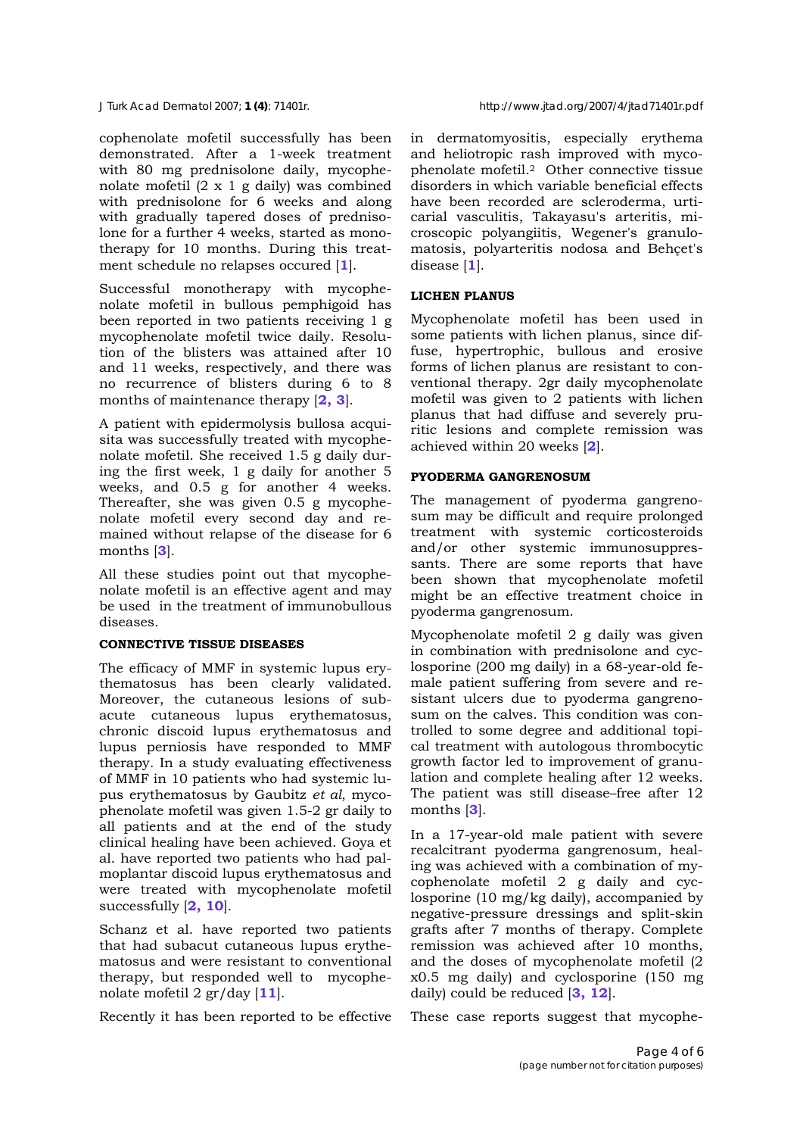cophenolate mofetil successfully has been demonstrated. After a 1-week treatment with 80 mg prednisolone daily, mycophenolate mofetil (2 x 1 g daily) was combined with prednisolone for 6 weeks and along with gradually tapered doses of prednisolone for a further 4 weeks, started as monotherapy for 10 months. During this treatment schedule no relapses occured [**1**].

Successful monotherapy with mycophenolate mofetil in bullous pemphigoid has been reported in two patients receiving 1 g mycophenolate mofetil twice daily. Resolution of the blisters was attained after 10 and 11 weeks, respectively, and there was no recurrence of blisters during 6 to 8 months of maintenance therapy [**2, 3**].

A patient with epidermolysis bullosa acquisita was successfully treated with mycophenolate mofetil. She received 1.5 g daily during the first week, 1 g daily for another 5 weeks, and 0.5 g for another 4 weeks. Thereafter, she was given 0.5 g mycophenolate mofetil every second day and remained without relapse of the disease for 6 months [**3**].

All these studies point out that mycophenolate mofetil is an effective agent and may be used in the treatment of immunobullous diseases.

## **CONNECTIVE TISSUE DISEASES**

The efficacy of MMF in systemic lupus erythematosus has been clearly validated. Moreover, the cutaneous lesions of subacute cutaneous lupus erythematosus, chronic discoid lupus erythematosus and lupus perniosis have responded to MMF therapy. In a study evaluating effectiveness of MMF in 10 patients who had systemic lupus erythematosus by Gaubitz *et al*, mycophenolate mofetil was given 1.5-2 gr daily to all patients and at the end of the study clinical healing have been achieved. Goya et al. have reported two patients who had palmoplantar discoid lupus erythematosus and were treated with mycophenolate mofetil successfully [**2, 10**].

Schanz et al. have reported two patients that had subacut cutaneous lupus erythematosus and were resistant to conventional therapy, but responded well to mycophenolate mofetil 2 gr/day [**11**].

Recently it has been reported to be effective

in dermatomyositis, especially erythema and heliotropic rash improved with mycophenolate mofetil.2 Other connective tissue disorders in which variable beneficial effects have been recorded are scleroderma, urticarial vasculitis, Takayasu's arteritis, microscopic polyangiitis, Wegener's granulomatosis, polyarteritis nodosa and Behçet's disease [**1**].

# **LICHEN PLANUS**

Mycophenolate mofetil has been used in some patients with lichen planus, since diffuse, hypertrophic, bullous and erosive forms of lichen planus are resistant to conventional therapy. 2gr daily mycophenolate mofetil was given to 2 patients with lichen planus that had diffuse and severely pruritic lesions and complete remission was achieved within 20 weeks [**2**].

# **PYODERMA GANGRENOSUM**

The management of pyoderma gangrenosum may be difficult and require prolonged treatment with systemic corticosteroids and/or other systemic immunosuppressants. There are some reports that have been shown that mycophenolate mofetil might be an effective treatment choice in pyoderma gangrenosum.

Mycophenolate mofetil 2 g daily was given in combination with prednisolone and cyclosporine (200 mg daily) in a 68-year-old female patient suffering from severe and resistant ulcers due to pyoderma gangrenosum on the calves. This condition was controlled to some degree and additional topical treatment with autologous thrombocytic growth factor led to improvement of granulation and complete healing after 12 weeks. The patient was still disease–free after 12 months [**3**].

In a 17-year-old male patient with severe recalcitrant pyoderma gangrenosum, healing was achieved with a combination of mycophenolate mofetil 2 g daily and cyclosporine (10 mg/kg daily), accompanied by negative-pressure dressings and split-skin grafts after 7 months of therapy. Complete remission was achieved after 10 months, and the doses of mycophenolate mofetil (2 x0.5 mg daily) and cyclosporine (150 mg daily) could be reduced [**3, 12**].

These case reports suggest that mycophe-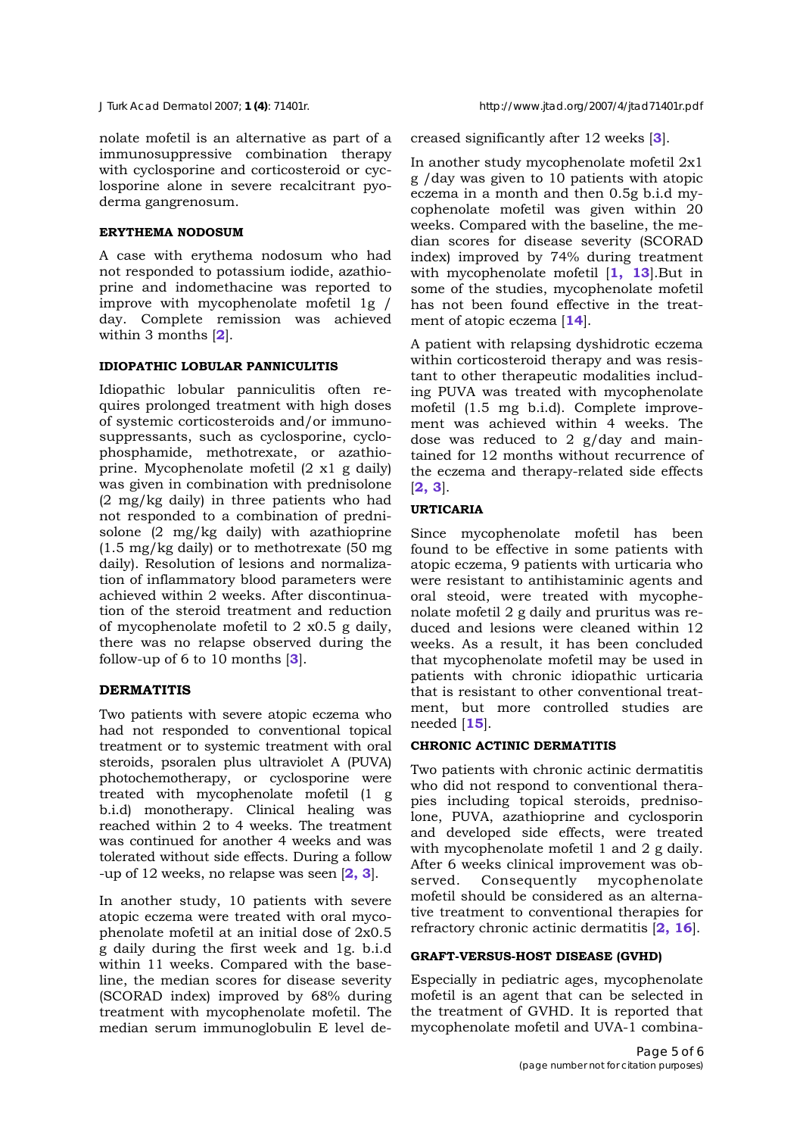nolate mofetil is an alternative as part of a immunosuppressive combination therapy with cyclosporine and corticosteroid or cyclosporine alone in severe recalcitrant pyoderma gangrenosum.

#### **ERYTHEMA NODOSUM**

A case with erythema nodosum who had not responded to potassium iodide, azathioprine and indomethacine was reported to improve with mycophenolate mofetil 1g / day. Complete remission was achieved within 3 months [**2**].

## **IDIOPATHIC LOBULAR PANNICULITIS**

Idiopathic lobular panniculitis often requires prolonged treatment with high doses of systemic corticosteroids and/or immunosuppressants, such as cyclosporine, cyclophosphamide, methotrexate, or azathioprine. Mycophenolate mofetil (2 x1 g daily) was given in combination with prednisolone (2 mg/kg daily) in three patients who had not responded to a combination of prednisolone (2 mg/kg daily) with azathioprine (1.5 mg/kg daily) or to methotrexate (50 mg daily). Resolution of lesions and normalization of inflammatory blood parameters were achieved within 2 weeks. After discontinuation of the steroid treatment and reduction of mycophenolate mofetil to 2 x0.5 g daily, there was no relapse observed during the follow-up of 6 to 10 months [**3**].

## **DERMATITIS**

Two patients with severe atopic eczema who had not responded to conventional topical treatment or to systemic treatment with oral steroids, psoralen plus ultraviolet A (PUVA) photochemotherapy, or cyclosporine were treated with mycophenolate mofetil (1 g b.i.d) monotherapy. Clinical healing was reached within 2 to 4 weeks. The treatment was continued for another 4 weeks and was tolerated without side effects. During a follow -up of 12 weeks, no relapse was seen [**2, 3**].

In another study, 10 patients with severe atopic eczema were treated with oral mycophenolate mofetil at an initial dose of 2x0.5 g daily during the first week and 1g. b.i.d within 11 weeks. Compared with the baseline, the median scores for disease severity (SCORAD index) improved by 68% during treatment with mycophenolate mofetil. The median serum immunoglobulin E level decreased significantly after 12 weeks [**3**].

In another study mycophenolate mofetil 2x1 g /day was given to 10 patients with atopic eczema in a month and then 0.5g b.i.d mycophenolate mofetil was given within 20 weeks. Compared with the baseline, the median scores for disease severity (SCORAD index) improved by 74% during treatment with mycophenolate mofetil [**1, 13**].But in some of the studies, mycophenolate mofetil has not been found effective in the treatment of atopic eczema [**14**].

A patient with relapsing dyshidrotic eczema within corticosteroid therapy and was resistant to other therapeutic modalities including PUVA was treated with mycophenolate mofetil (1.5 mg b.i.d). Complete improvement was achieved within 4 weeks. The dose was reduced to 2 g/day and maintained for 12 months without recurrence of the eczema and therapy-related side effects [**2, 3**].

# **URTICARIA**

Since mycophenolate mofetil has been found to be effective in some patients with atopic eczema, 9 patients with urticaria who were resistant to antihistaminic agents and oral steoid, were treated with mycophenolate mofetil 2 g daily and pruritus was reduced and lesions were cleaned within 12 weeks. As a result, it has been concluded that mycophenolate mofetil may be used in patients with chronic idiopathic urticaria that is resistant to other conventional treatment, but more controlled studies are needed [**15**].

## **CHRONIC ACTINIC DERMATITIS**

Two patients with chronic actinic dermatitis who did not respond to conventional therapies including topical steroids, prednisolone, PUVA, azathioprine and cyclosporin and developed side effects, were treated with mycophenolate mofetil 1 and 2 g daily. After 6 weeks clinical improvement was observed. Consequently mycophenolate mofetil should be considered as an alternative treatment to conventional therapies for refractory chronic actinic dermatitis [**2, 16**].

## **GRAFT-VERSUS-HOST DISEASE (GVHD)**

Especially in pediatric ages, mycophenolate mofetil is an agent that can be selected in the treatment of GVHD. It is reported that mycophenolate mofetil and UVA-1 combina-